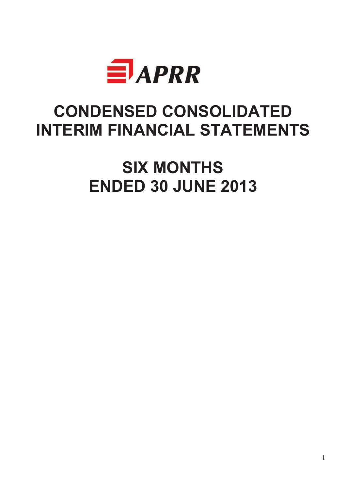

# **CONDENSED CONSOLIDATED INTERIM FINANCIAL STATEMENTS**

**SIX MONTHS ENDED 30 JUNE 2013**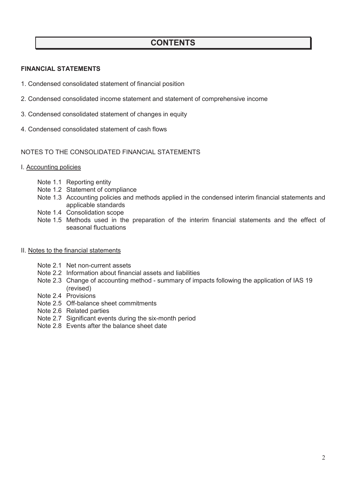# **CONTENTS**

### **FINANCIAL STATEMENTS**

- 1. Condensed consolidated statement of financial position
- 2. Condensed consolidated income statement and statement of comprehensive income
- 3. Condensed consolidated statement of changes in equity
- 4. Condensed consolidated statement of cash flows

### NOTES TO THE CONSOLIDATED FINANCIAL STATEMENTS

- I. Accounting policies
	- Note 1.1 Reporting entity
	- Note 1.2 Statement of compliance
	- Note 1.3 Accounting policies and methods applied in the condensed interim financial statements and applicable standards
	- Note 1.4 Consolidation scope
	- Note 1.5 Methods used in the preparation of the interim financial statements and the effect of seasonal fluctuations
- II. Notes to the financial statements
	- Note 2.1 Net non-current assets
	- Note 2.2 Information about financial assets and liabilities
	- Note 2.3 Change of accounting method summary of impacts following the application of IAS 19 (revised)
	- Note 2.4 Provisions
	- Note 2.5 Off-balance sheet commitments
	- Note 2.6 Related parties
	- Note 2.7 Significant events during the six-month period
	- Note 2.8 Events after the balance sheet date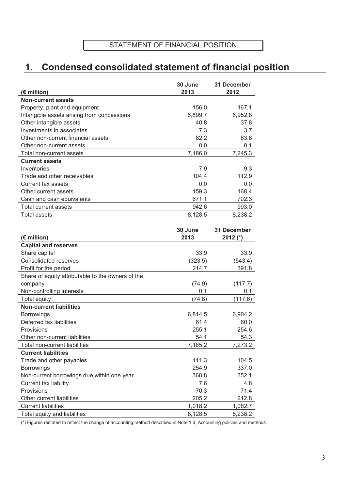# **1. Condensed consolidated statement of financial position**

|                                            | 30 June | 31 December |
|--------------------------------------------|---------|-------------|
| (€ million)                                | 2013    | 2012        |
| <b>Non-current assets</b>                  |         |             |
| Property, plant and equipment              | 156.0   | 167.1       |
| Intangible assets arising from concessions | 6,899.7 | 6,952.8     |
| Other intangible assets                    | 40.8    | 37.8        |
| Investments in associates                  | 7.3     | 3.7         |
| Other non-current financial assets         | 82.2    | 83.8        |
| Other non-current assets                   | 0.0     | 0.1         |
| Total non-current assets                   | 7,186.0 | 7,245.3     |
| <b>Current assets</b>                      |         |             |
| Inventories                                | 7.9     | 9.3         |
| Trade and other receivables                | 104.4   | 112.9       |
| Current tax assets                         | 0.0     | 0.0         |
| Other current assets                       | 159.3   | 168.4       |
| Cash and cash equivalents                  | 671.1   | 702.3       |
| Total current assets                       | 942.6   | 993.0       |
| <b>Total assets</b>                        | 8,128.5 | 8.238.2     |

|                                                   | 30 June | <b>31 December</b> |
|---------------------------------------------------|---------|--------------------|
| (€ million)                                       | 2013    | $2012$ (*)         |
| <b>Capital and reserves</b>                       |         |                    |
| Share capital                                     | 33.9    | 33.9               |
| Consolidated reserves                             | (323.5) | (543.4)            |
| Profit for the period                             | 214.7   | 391.8              |
| Share of equity attributable to the owners of the |         |                    |
| company                                           | (74.9)  | (117.7)            |
| Non-controlling interests                         | 0.1     | 0.1                |
| Total equity                                      | (74.8)  | (117.6)            |
| <b>Non-current liabilities</b>                    |         |                    |
| <b>Borrowings</b>                                 | 6,814.5 | 6,904.2            |
| Deferred tax liabilities                          | 61.4    | 60.0               |
| Provisions                                        | 255.1   | 254.6              |
| Other non-current liabilities                     | 54.1    | 54.3               |
| <b>Total non-current liabilities</b>              | 7,185.2 | 7,273.2            |
| <b>Current liabilities</b>                        |         |                    |
| Trade and other payables                          | 111.3   | 104.5              |
| <b>Borrowings</b>                                 | 254.9   | 337.0              |
| Non-current borrowings due within one year        | 368.8   | 352.1              |
| Current tax liability                             | 7.6     | 4.8                |
| Provisions                                        | 70.3    | 71.4               |
| Other current liabilities                         | 205.2   | 212.8              |
| <b>Current liabilities</b>                        | 1,018.2 | 1,082.7            |
| Total equity and liabilities                      | 8,128.5 | 8,238.2            |

(\*) Figures restated to reflect the change of accounting method described in Note 1.3, Accounting policies and methods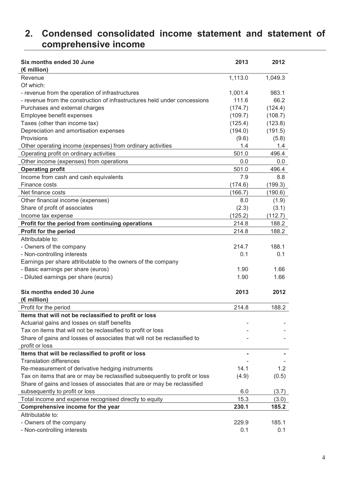### **2. Condensed consolidated income statement and statement of comprehensive income**

| Six months ended 30 June<br>(€ million)                                     | 2013    | 2012    |
|-----------------------------------------------------------------------------|---------|---------|
| Revenue                                                                     | 1,113.0 | 1,049.3 |
| Of which:                                                                   |         |         |
| - revenue from the operation of infrastructures                             | 1,001.4 | 983.1   |
| - revenue from the construction of infrastructures held under concessions   | 111.6   | 66.2    |
| Purchases and external charges                                              | (174.7) | (124.4) |
| Employee benefit expenses                                                   | (109.7) | (108.7) |
| Taxes (other than income tax)                                               | (125.4) | (123.8) |
| Depreciation and amortisation expenses                                      | (194.0) | (191.5) |
| Provisions                                                                  | (9.6)   | (5.8)   |
| Other operating income (expenses) from ordinary activities                  | 1.4     | 1.4     |
| Operating profit on ordinary activities                                     | 501.0   | 496.4   |
| Other income (expenses) from operations                                     | 0.0     | 0.0     |
| <b>Operating profit</b>                                                     | 501.0   | 496.4   |
| Income from cash and cash equivalents                                       | 7.9     | 8.8     |
| Finance costs                                                               | (174.6) | (199.3) |
| Net finance costs                                                           | (166.7) | (190.6) |
| Other financial income (expenses)                                           | 8.0     | (1.9)   |
| Share of profit of associates                                               | (2.3)   | (3.1)   |
| Income tax expense                                                          | (125.2) | (112.7) |
| Profit for the period from continuing operations                            | 214.8   | 188.2   |
| <b>Profit for the period</b>                                                | 214.8   | 188.2   |
| Attributable to:                                                            |         |         |
|                                                                             | 214.7   | 188.1   |
| - Owners of the company                                                     |         |         |
| - Non-controlling interests                                                 | 0.1     | 0.1     |
| Earnings per share attributable to the owners of the company                |         |         |
| - Basic earnings per share (euros)                                          | 1.90    | 1.66    |
| - Diluted earnings per share (euros)                                        | 1.90    | 1.66    |
| Six months ended 30 June                                                    | 2013    | 2012    |
| $(E$ million)                                                               |         |         |
| Profit for the period                                                       | 214.8   | 188.2   |
| Items that will not be reclassified to profit or loss                       |         |         |
| Actuarial gains and losses on staff benefits                                |         |         |
| Tax on items that will not be reclassified to profit or loss                |         |         |
| Share of gains and losses of associates that will not be reclassified to    |         |         |
| profit or loss                                                              |         |         |
| Items that will be reclassified to profit or loss                           |         |         |
| <b>Translation differences</b>                                              |         |         |
| Re-measurement of derivative hedging instruments                            | 14.1    | 1.2     |
| Tax on items that are or may be reclassified subsequently to profit or loss | (4.9)   | (0.5)   |
| Share of gains and losses of associates that are or may be reclassified     |         |         |
| subsequently to profit or loss                                              | 6.0     | (3.7)   |
| Total income and expense recognised directly to equity                      | 15.3    | (3.0)   |
| Comprehensive income for the year                                           | 230.1   | 185.2   |
| Attributable to:                                                            |         |         |
| - Owners of the company                                                     | 229.9   | 185.1   |
| - Non-controlling interests                                                 | 0.1     | 0.1     |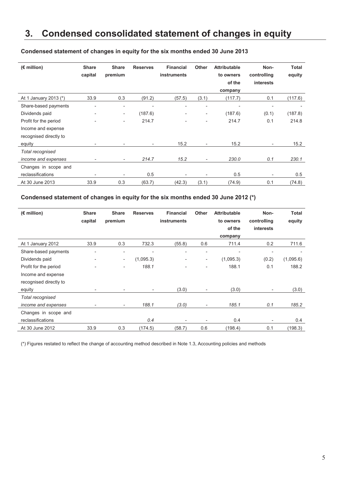# **3. Condensed consolidated statement of changes in equity**

| $(E$ million)          | <b>Share</b><br>capital  | <b>Share</b><br>premium  | <b>Reserves</b>          | <b>Financial</b><br><b>instruments</b> | <b>Other</b>                 | <b>Attributable</b><br>to owners | Non-<br>controlling      | <b>Total</b><br>equity |
|------------------------|--------------------------|--------------------------|--------------------------|----------------------------------------|------------------------------|----------------------------------|--------------------------|------------------------|
|                        |                          |                          |                          |                                        |                              | of the                           | <i>interests</i>         |                        |
|                        |                          |                          |                          |                                        |                              | company                          |                          |                        |
| At 1 January 2013 (*)  | 33.9                     | 0.3                      | (91.2)                   | (57.5)                                 | (3.1)                        | (117.7)                          | 0.1                      | (117.6)                |
| Share-based payments   | $\overline{\phantom{0}}$ | $\overline{\phantom{0}}$ | $\overline{\phantom{a}}$ |                                        | $\overline{\phantom{a}}$     |                                  | $\overline{\phantom{a}}$ |                        |
| Dividends paid         | $\overline{\phantom{0}}$ | $\overline{\phantom{a}}$ | (187.6)                  | $\overline{\phantom{0}}$               | $\overline{\phantom{a}}$     | (187.6)                          | (0.1)                    | (187.8)                |
| Profit for the period  |                          | $\overline{\phantom{0}}$ | 214.7                    |                                        |                              | 214.7                            | 0.1                      | 214.8                  |
| Income and expense     |                          |                          |                          |                                        |                              |                                  |                          |                        |
| recognised directly to |                          |                          |                          |                                        |                              |                                  |                          |                        |
| equity                 |                          |                          | $\overline{\phantom{a}}$ | 15.2                                   | $\qquad \qquad \blacksquare$ | 15.2                             | $\overline{\phantom{a}}$ | 15.2                   |
| Total recognised       |                          |                          |                          |                                        |                              |                                  |                          |                        |
| income and expenses    | ٠                        | ۰.                       | 214.7                    | 15.2                                   | $\overline{\phantom{0}}$     | 230.0                            | 0.1                      | 230.1                  |
| Changes in scope and   |                          |                          |                          |                                        |                              |                                  |                          |                        |
| reclassifications      |                          |                          | 0.5                      |                                        |                              | 0.5                              | $\overline{\phantom{a}}$ | 0.5                    |
| At 30 June 2013        | 33.9                     | 0.3                      | (63.7)                   | (42.3)                                 | (3.1)                        | (74.9)                           | 0.1                      | (74.8)                 |

### **Condensed statement of changes in equity for the six months ended 30 June 2013**

#### **Condensed statement of changes in equity for the six months ended 30 June 2012 (\*)**

| $(E$ million)          | <b>Share</b><br>capital  | <b>Share</b><br>premium  | <b>Reserves</b>          | <b>Financial</b><br><b>instruments</b> | <b>Other</b>             | <b>Attributable</b><br>to owners | Non-<br>controlling      | Total<br>equity |
|------------------------|--------------------------|--------------------------|--------------------------|----------------------------------------|--------------------------|----------------------------------|--------------------------|-----------------|
|                        |                          |                          |                          |                                        |                          | of the                           | interests                |                 |
|                        |                          |                          |                          |                                        |                          | company                          |                          |                 |
| At 1 January 2012      | 33.9                     | 0.3                      | 732.3                    | (55.8)                                 | 0.6                      | 711.4                            | 0.2                      | 711.6           |
| Share-based payments   | $\overline{\phantom{0}}$ | $\overline{\phantom{0}}$ | $\overline{\phantom{0}}$ |                                        | $\overline{\phantom{a}}$ | $\overline{\phantom{a}}$         | $\overline{\phantom{0}}$ |                 |
| Dividends paid         | $\overline{\phantom{0}}$ | $\overline{\phantom{a}}$ | (1,095.3)                | $\overline{\phantom{0}}$               | $\overline{\phantom{a}}$ | (1,095.3)                        | (0.2)                    | (1,095.6)       |
| Profit for the period  | $\overline{\phantom{a}}$ | -                        | 188.1                    |                                        |                          | 188.1                            | 0.1                      | 188.2           |
| Income and expense     |                          |                          |                          |                                        |                          |                                  |                          |                 |
| recognised directly to |                          |                          |                          |                                        |                          |                                  |                          |                 |
| equity                 | ٠                        |                          | ٠                        | (3.0)                                  | $\overline{\phantom{a}}$ | (3.0)                            | $\overline{\phantom{a}}$ | (3.0)           |
| Total recognised       |                          |                          |                          |                                        |                          |                                  |                          |                 |
| income and expenses    |                          | $\overline{\phantom{0}}$ | 188.1                    | (3.0)                                  | $\overline{\phantom{a}}$ | 185.1                            | 0.1                      | 185.2           |
| Changes in scope and   |                          |                          |                          |                                        |                          |                                  |                          |                 |
| reclassifications      |                          |                          | 0.4                      |                                        |                          | 0.4                              |                          | 0.4             |
| At 30 June 2012        | 33.9                     | 0.3                      | (174.5)                  | (58.7)                                 | 0.6                      | (198.4)                          | 0.1                      | (198.3)         |

(\*) Figures restated to reflect the change of accounting method described in Note 1.3, Accounting policies and methods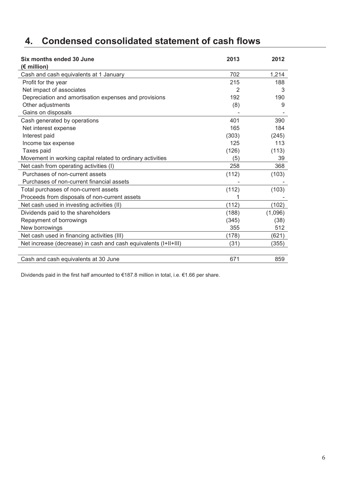# **4. Condensed consolidated statement of cash flows**

| Six months ended 30 June                                        | 2013  | 2012    |
|-----------------------------------------------------------------|-------|---------|
| $(\epsilon$ million)                                            |       |         |
| Cash and cash equivalents at 1 January                          | 702   | 1,214   |
| Profit for the year                                             | 215   | 188     |
| Net impact of associates                                        | 2     | 3       |
| Depreciation and amortisation expenses and provisions           | 192   | 190     |
| Other adjustments                                               | (8)   | 9       |
| Gains on disposals                                              |       |         |
| Cash generated by operations                                    | 401   | 390     |
| Net interest expense                                            | 165   | 184     |
| Interest paid                                                   | (303) | (245)   |
| Income tax expense                                              | 125   | 113     |
| Taxes paid                                                      | (126) | (113)   |
| Movement in working capital related to ordinary activities      | (5)   | 39      |
| Net cash from operating activities (I)                          | 258   | 368     |
| Purchases of non-current assets                                 | (112) | (103)   |
| Purchases of non-current financial assets                       |       |         |
| Total purchases of non-current assets                           | (112) | (103)   |
| Proceeds from disposals of non-current assets                   |       |         |
| Net cash used in investing activities (II)                      | (112) | (102)   |
| Dividends paid to the shareholders                              | (188) | (1,096) |
| Repayment of borrowings                                         | (345) | (38)    |
| New borrowings                                                  | 355   | 512     |
| Net cash used in financing activities (III)                     | (178) | (621)   |
| Net increase (decrease) in cash and cash equivalents (I+II+III) | (31)  | (355)   |
|                                                                 |       |         |
| Cash and cash equivalents at 30 June                            | 671   | 859     |

Dividends paid in the first half amounted to €187.8 million in total, i.e. €1.66 per share.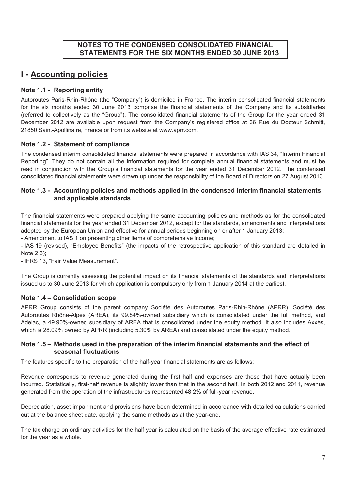## **NOTES TO THE CONDENSED CONSOLIDATED FINANCIAL STATEMENTS FOR THE SIX MONTHS ENDED 30 JUNE 2013**

# **I - Accounting policies**

### **Note 1.1 - Reporting entity**

Autoroutes Paris-Rhin-Rhône (the "Company") is domiciled in France. The interim consolidated financial statements for the six months ended 30 June 2013 comprise the financial statements of the Company and its subsidiaries (referred to collectively as the "Group"). The consolidated financial statements of the Group for the year ended 31 December 2012 are available upon request from the Company's registered office at 36 Rue du Docteur Schmitt, 21850 Saint-Apollinaire, France or from its website at www.aprr.com.

### **Note 1.2 - Statement of compliance**

The condensed interim consolidated financial statements were prepared in accordance with IAS 34, "Interim Financial Reporting". They do not contain all the information required for complete annual financial statements and must be read in conjunction with the Group's financial statements for the year ended 31 December 2012. The condensed consolidated financial statements were drawn up under the responsibility of the Board of Directors on 27 August 2013.

### **Note 1.3 - Accounting policies and methods applied in the condensed interim financial statements and applicable standards**

The financial statements were prepared applying the same accounting policies and methods as for the consolidated financial statements for the year ended 31 December 2012, except for the standards, amendments and interpretations adopted by the European Union and effective for annual periods beginning on or after 1 January 2013:

- Amendment to IAS 1 on presenting other items of comprehensive income;

- IAS 19 (revised), "Employee Benefits" (the impacts of the retrospective application of this standard are detailed in Note 2.3);

- IFRS 13, "Fair Value Measurement".

The Group is currently assessing the potential impact on its financial statements of the standards and interpretations issued up to 30 June 2013 for which application is compulsory only from 1 January 2014 at the earliest.

### **Note 1.4 – Consolidation scope**

APRR Group consists of the parent company Société des Autoroutes Paris-Rhin-Rhône (APRR), Société des Autoroutes Rhône-Alpes (AREA), its 99.84%-owned subsidiary which is consolidated under the full method, and Adelac, a 49.90%-owned subsidiary of AREA that is consolidated under the equity method. It also includes Axxès, which is 28.09% owned by APRR (including 5.30% by AREA) and consolidated under the equity method.

### **Note 1.5 – Methods used in the preparation of the interim financial statements and the effect of seasonal fluctuations**

The features specific to the preparation of the half-year financial statements are as follows:

Revenue corresponds to revenue generated during the first half and expenses are those that have actually been incurred. Statistically, first-half revenue is slightly lower than that in the second half. In both 2012 and 2011, revenue generated from the operation of the infrastructures represented 48.2% of full-year revenue.

Depreciation, asset impairment and provisions have been determined in accordance with detailed calculations carried out at the balance sheet date, applying the same methods as at the year-end.

The tax charge on ordinary activities for the half year is calculated on the basis of the average effective rate estimated for the year as a whole.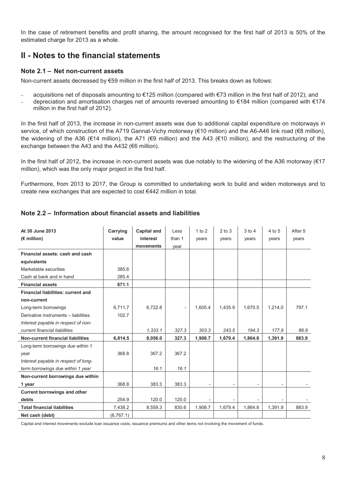In the case of retirement benefits and profit sharing, the amount recognised for the first half of 2013 is 50% of the estimated charge for 2013 as a whole.

# **II - Notes to the financial statements**

### **Note 2.1 – Net non-current assets**

Non-current assets decreased by €59 million in the first half of 2013. This breaks down as follows:

- − acquisitions net of disposals amounting to €125 million (compared with €73 million in the first half of 2012); and
- depreciation and amortisation charges net of amounts reversed amounting to €184 million (compared with €174 million in the first half of 2012).

In the first half of 2013, the increase in non-current assets was due to additional capital expenditure on motorways in service, of which construction of the A719 Gannat-Vichy motorway (€10 million) and the A6-A46 link road (€8 million), the widening of the A36 (€14 million), the A71 (€9 million) and the A43 (€10 million), and the restructuring of the exchange between the A43 and the A432 (€6 million).

In the first half of 2012, the increase in non-current assets was due notably to the widening of the A36 motorway (€17 million), which was the only major project in the first half.

Furthermore, from 2013 to 2017, the Group is committed to undertaking work to build and widen motorways and to create new exchanges that are expected to cost €442 million in total.

| At 30 June 2013                          | Carrying   | <b>Capital and</b> | Less   | 1 to 2  | $2$ to $3$ | $3$ to $4$ | 4 to 5  | After 5 |
|------------------------------------------|------------|--------------------|--------|---------|------------|------------|---------|---------|
| $(E$ million)                            | value      | interest           | than 1 | vears   | vears      | vears      | vears   | years   |
|                                          |            | movements          | year   |         |            |            |         |         |
| Financial assets: cash and cash          |            |                    |        |         |            |            |         |         |
| equivalents                              |            |                    |        |         |            |            |         |         |
| Marketable securities                    | 385.6      |                    |        |         |            |            |         |         |
| Cash at bank and in hand                 | 285.4      |                    |        |         |            |            |         |         |
| <b>Financial assets</b>                  | 671.1      |                    |        |         |            |            |         |         |
| Financial liabilities: current and       |            |                    |        |         |            |            |         |         |
| non-current                              |            |                    |        |         |            |            |         |         |
| Long-term borrowings                     | 6,711.7    | 6,722.8            |        | 1,605.4 | 1,435.9    | 1,670.5    | 1,214.0 | 797.1   |
| Derivative instruments - liabilities     | 102.7      |                    |        |         |            |            |         |         |
| Interest payable in respect of non-      |            |                    |        |         |            |            |         |         |
| current financial liabilities            |            | 1,333.1            | 327.3  | 303.3   | 243.5      | 194.3      | 177.9   | 86.8    |
| <b>Non-current financial liabilities</b> | 6,814.5    | 8,056.0            | 327.3  | 1,908.7 | 1,679.4    | 1,864.8    | 1,391.9 | 883.9   |
| Long-term borrowings due within 1        |            |                    |        |         |            |            |         |         |
| year                                     | 368.8      | 367.2              | 367.2  |         |            |            |         |         |
| Interest payable in respect of long-     |            |                    |        |         |            |            |         |         |
| term borrowings due within 1 year        |            | 16.1               | 16.1   |         |            |            |         |         |
| Non-current borrowings due within        |            |                    |        |         |            |            |         |         |
| 1 year                                   | 368.8      | 383.3              | 383.3  |         |            |            |         |         |
| <b>Current borrowings and other</b>      |            |                    |        |         |            |            |         |         |
| debts                                    | 254.9      | 120.0              | 120.0  |         |            |            |         |         |
| <b>Total financial liabilities</b>       | 7,438.2    | 8,559.3            | 830.6  | 1,908.7 | 1,679.4    | 1,864.8    | 1,391.9 | 883.9   |
| Net cash (debt)                          | (6, 767.1) |                    |        |         |            |            |         |         |

### **Note 2.2 – Information about financial assets and liabilities**

Capital and interest movements exclude loan issuance costs, issuance premiums and other items not involving the movement of funds.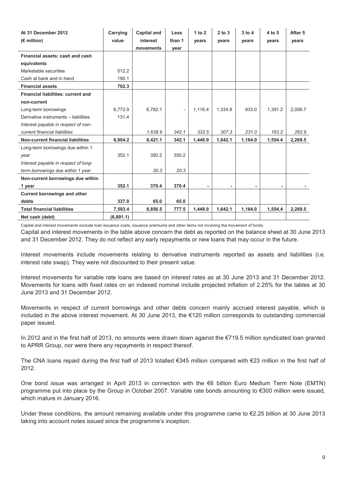| At 31 December 2012                       | Carrying  | <b>Capital and</b> | <b>Less</b>         | 1 to $2$ | $2$ to $3$ | $3$ to $4$ | 4 to 5  | After 5 |
|-------------------------------------------|-----------|--------------------|---------------------|----------|------------|------------|---------|---------|
| $(E$ million)                             | value     | interest           | than 1              | vears    | vears      | vears      | years   | years   |
|                                           |           | movements          | year                |          |            |            |         |         |
| Financial assets: cash and cash           |           |                    |                     |          |            |            |         |         |
| equivalents                               |           |                    |                     |          |            |            |         |         |
| Marketable securities                     | 512.2     |                    |                     |          |            |            |         |         |
| Cash at bank and in hand                  | 190.1     |                    |                     |          |            |            |         |         |
| <b>Financial assets</b>                   | 702.3     |                    |                     |          |            |            |         |         |
| <b>Financial liabilities: current and</b> |           |                    |                     |          |            |            |         |         |
| non-current                               |           |                    |                     |          |            |            |         |         |
| Long-term borrowings                      | 6,772.9   | 6,782.1            | $\bar{\phantom{a}}$ | 1,116.4  | 1,334.8    | 933.0      | 1,391.2 | 2,006.7 |
| Derivative instruments - liabilities      | 131.4     |                    |                     |          |            |            |         |         |
| Interest payable in respect of non-       |           |                    |                     |          |            |            |         |         |
| current financial liabilities             |           | 1,638.9            | 342.1               | 332.5    | 307.3      | 231.0      | 163.2   | 262.9   |
| <b>Non-current financial liabilities</b>  | 6,904.2   | 8,421.1            | 342.1               | 1,448.9  | 1,642.1    | 1,164.0    | 1,554.4 | 2,269.5 |
| Long-term borrowings due within 1         |           |                    |                     |          |            |            |         |         |
| year                                      | 352.1     | 350.2              | 350.2               |          |            |            |         |         |
| Interest payable in respect of long-      |           |                    |                     |          |            |            |         |         |
| term borrowings due within 1 year         |           | 20.3               | 20.3                |          |            |            |         |         |
| Non-current borrowings due within         |           |                    |                     |          |            |            |         |         |
| 1 year                                    | 352.1     | 370.4              | 370.4               |          |            |            |         |         |
| <b>Current borrowings and other</b>       |           |                    |                     |          |            |            |         |         |
| debts                                     | 337.0     | 65.0               | 65.0                |          |            |            |         |         |
| <b>Total financial liabilities</b>        | 7,593.4   | 8,856.5            | 777.5               | 1,448.9  | 1,642.1    | 1,164.0    | 1,554.4 | 2,269.5 |
| Net cash (debt)                           | (6,891.1) |                    |                     |          |            |            |         |         |

Capital and interest movements exclude loan issuance costs, issuance premiums and other items not involving the movement of funds.

Capital and interest movements in the table above concern the debt as reported on the balance sheet at 30 June 2013 and 31 December 2012. They do not reflect any early repayments or new loans that may occur in the future.

Interest movements include movements relating to derivative instruments reported as assets and liabilities (i.e. interest rate swap). They were not discounted to their present value.

Interest movements for variable rate loans are based on interest rates as at 30 June 2013 and 31 December 2012. Movements for loans with fixed rates on an indexed nominal include projected inflation of 2.25% for the tables at 30 June 2013 and 31 December 2012.

Movements in respect of current borrowings and other debts concern mainly accrued interest payable, which is included in the above interest movement. At 30 June 2013, the €120 million corresponds to outstanding commercial paper issued.

In 2012 and in the first half of 2013, no amounts were drawn down against the €719.5 million syndicated loan granted to APRR Group, nor were there any repayments in respect thereof.

The CNA loans repaid during the first half of 2013 totalled €345 million compared with €23 million in the first half of 2012.

One bond issue was arranged in April 2013 in connection with the €6 billion Euro Medium Term Note (EMTN) programme put into place by the Group in October 2007. Variable rate bonds amounting to €300 million were issued, which mature in January 2016.

Under these conditions, the amount remaining available under this programme came to €2.25 billion at 30 June 2013 taking into account notes issued since the programme's inception.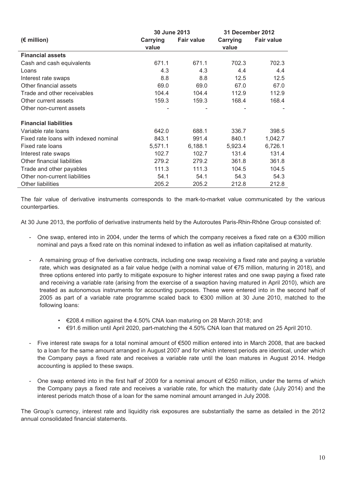|                                       | 30 June 2013 |                   |                 | <b>31 December 2012</b> |
|---------------------------------------|--------------|-------------------|-----------------|-------------------------|
| $(E$ million)                         | Carrying     | <b>Fair value</b> | <b>Carrying</b> | <b>Fair value</b>       |
|                                       | value        |                   | value           |                         |
| <b>Financial assets</b>               |              |                   |                 |                         |
| Cash and cash equivalents             | 671.1        | 671.1             | 702.3           | 702.3                   |
| Loans                                 | 4.3          | 4.3               | 4.4             | 4.4                     |
| Interest rate swaps                   | 8.8          | 8.8               | 12.5            | 12.5                    |
| Other financial assets                | 69.0         | 69.0              | 67.0            | 67.0                    |
| Trade and other receivables           | 104.4        | 104.4             | 112.9           | 112.9                   |
| Other current assets                  | 159.3        | 159.3             | 168.4           | 168.4                   |
| Other non-current assets              |              |                   |                 |                         |
| <b>Financial liabilities</b>          |              |                   |                 |                         |
| Variable rate loans                   | 642.0        | 688.1             | 336.7           | 398.5                   |
| Fixed rate loans with indexed nominal | 843.1        | 991.4             | 840.1           | 1,042.7                 |
| Fixed rate loans                      | 5,571.1      | 6,188.1           | 5,923.4         | 6,726.1                 |
| Interest rate swaps                   | 102.7        | 102.7             | 131.4           | 131.4                   |
| Other financial liabilities           | 279.2        | 279.2             | 361.8           | 361.8                   |
| Trade and other payables              | 111.3        | 111.3             | 104.5           | 104.5                   |
| Other non-current liabilities         | 54.1         | 54.1              | 54.3            | 54.3                    |
| <b>Other liabilities</b>              | 205.2        | 205.2             | 212.8           | 212.8                   |

The fair value of derivative instruments corresponds to the mark-to-market value communicated by the various counterparties.

At 30 June 2013, the portfolio of derivative instruments held by the Autoroutes Paris-Rhin-Rhône Group consisted of:

- One swap, entered into in 2004, under the terms of which the company receives a fixed rate on a  $\epsilon$ 300 million nominal and pays a fixed rate on this nominal indexed to inflation as well as inflation capitalised at maturity.
- A remaining group of five derivative contracts, including one swap receiving a fixed rate and paying a variable rate, which was designated as a fair value hedge (with a nominal value of €75 million, maturing in 2018), and three options entered into partly to mitigate exposure to higher interest rates and one swap paying a fixed rate and receiving a variable rate (arising from the exercise of a swaption having matured in April 2010), which are treated as autonomous instruments for accounting purposes. These were entered into in the second half of 2005 as part of a variable rate programme scaled back to €300 million at 30 June 2010, matched to the following loans:
	- €208.4 million against the 4.50% CNA loan maturing on 28 March 2018; and
	- €91.6 million until April 2020, part-matching the 4.50% CNA loan that matured on 25 April 2010.
- Five interest rate swaps for a total nominal amount of €500 million entered into in March 2008, that are backed to a loan for the same amount arranged in August 2007 and for which interest periods are identical, under which the Company pays a fixed rate and receives a variable rate until the loan matures in August 2014. Hedge accounting is applied to these swaps.
- One swap entered into in the first half of 2009 for a nominal amount of €250 million, under the terms of which the Company pays a fixed rate and receives a variable rate, for which the maturity date (July 2014) and the interest periods match those of a loan for the same nominal amount arranged in July 2008.

The Group's currency, interest rate and liquidity risk exposures are substantially the same as detailed in the 2012 annual consolidated financial statements.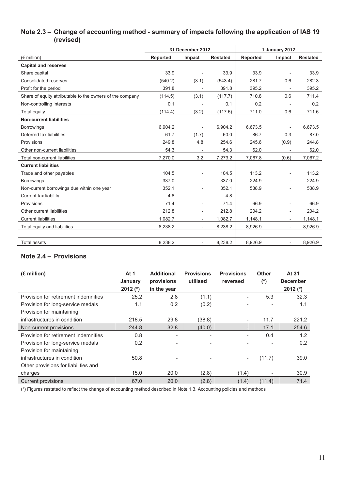#### **Note 2.3 – Change of accounting method - summary of impacts following the application of IAS 19 (revised)**   $\overline{1}$

|                                                           | 31 December 2012 |                          |                 |                 | 1 January 2012           |                 |
|-----------------------------------------------------------|------------------|--------------------------|-----------------|-----------------|--------------------------|-----------------|
| $(\epsilon$ million)                                      | <b>Reported</b>  | Impact                   | <b>Restated</b> | <b>Reported</b> | Impact                   | <b>Restated</b> |
| <b>Capital and reserves</b>                               |                  |                          |                 |                 |                          |                 |
| Share capital                                             | 33.9             |                          | 33.9            | 33.9            |                          | 33.9            |
| Consolidated reserves                                     | (540.2)          | (3.1)                    | (543.4)         | 281.7           | 0.6                      | 282.3           |
| Profit for the period                                     | 391.8            |                          | 391.8           | 395.2           |                          | 395.2           |
| Share of equity attributable to the owners of the company | (114.5)          | (3.1)                    | (117.7)         | 710.8           | 0.6                      | 711.4           |
| Non-controlling interests                                 | 0.1              | $\overline{a}$           | 0.1             | 0.2             | $\overline{\phantom{a}}$ | 0.2             |
| Total equity                                              | (114.4)          | (3.2)                    | (117.6)         | 711.0           | 0.6                      | 711.6           |
| <b>Non-current liabilities</b>                            |                  |                          |                 |                 |                          |                 |
| <b>Borrowings</b>                                         | 6,904.2          |                          | 6.904.2         | 6.673.5         |                          | 6.673.5         |
| Deferred tax liabilities                                  | 61.7             | (1.7)                    | 60.0            | 86.7            | 0.3                      | 87.0            |
| Provisions                                                | 249.8            | 4.8                      | 254.6           | 245.6           | (0.9)                    | 244.8           |
| Other non-current liabilities                             | 54.3             |                          | 54.3            | 62.0            |                          | 62.0            |
| Total non-current liabilities                             | 7,270.0          | 3.2                      | 7,273.2         | 7,067.8         | (0.6)                    | 7,067.2         |
| <b>Current liabilities</b>                                |                  |                          |                 |                 |                          |                 |
| Trade and other payables                                  | 104.5            | $\overline{\phantom{a}}$ | 104.5           | 113.2           | $\overline{\phantom{0}}$ | 113.2           |
| <b>Borrowings</b>                                         | 337.0            | $\overline{\phantom{a}}$ | 337.0           | 224.9           | $\overline{\phantom{0}}$ | 224.9           |
| Non-current borrowings due within one year                | 352.1            |                          | 352.1           | 538.9           | $\overline{\phantom{0}}$ | 538.9           |
| Current tax liability                                     | 4.8              |                          | 4.8             |                 |                          |                 |
| Provisions                                                | 71.4             | $\overline{\phantom{a}}$ | 71.4            | 66.9            | $\overline{\phantom{0}}$ | 66.9            |
| Other current liabilities                                 | 212.8            | $\overline{\phantom{a}}$ | 212.8           | 204.2           | $\overline{\phantom{0}}$ | 204.2           |
| <b>Current liabilities</b>                                | 1,082.7          | $\overline{\phantom{a}}$ | 1,082.7         | 1,148.1         | $\overline{\phantom{a}}$ | 1,148.1         |
| Total equity and liabilities                              | 8,238.2          | $\overline{\phantom{a}}$ | 8,238.2         | 8,926.9         | $\overline{\phantom{a}}$ | 8,926.9         |
|                                                           |                  |                          |                 |                 |                          |                 |
| Total assets                                              | 8,238.2          |                          | 8,238.2         | 8,926.9         | $\overline{\phantom{a}}$ | 8,926.9         |

### **Note 2.4 – Provisions**

| $(E \text{ million})$                | At $1$<br>January | <b>Additional</b><br>provisions | <b>Provisions</b><br>utilised | <b>Provisions</b><br>reversed | <b>Other</b><br>$(\dot{\phantom{a}})$ | At 31<br><b>December</b> |
|--------------------------------------|-------------------|---------------------------------|-------------------------------|-------------------------------|---------------------------------------|--------------------------|
|                                      | $2012$ (*)        | in the year                     |                               |                               |                                       | 2012 $(*)$               |
| Provision for retirement indemnities | 25.2              | 2.8                             | (1.1)                         | ۰                             | 5.3                                   | 32.3                     |
| Provision for long-service medals    | 1.1               | 0.2                             | (0.2)                         | ۰                             |                                       | 1.1                      |
| Provision for maintaining            |                   |                                 |                               |                               |                                       |                          |
| infrastructures in condition         | 218.5             | 29.8                            | (38.8)                        | $\overline{\phantom{a}}$      | 11.7                                  | 221.2                    |
| Non-current provisions               | 244.8             | 32.8                            | (40.0)                        | $\overline{\phantom{a}}$      | 17.1                                  | 254.6                    |
| Provision for retirement indemnities | 0.8               | -                               | $\overline{\phantom{a}}$      | ۰                             | 0.4                                   | 1.2                      |
| Provision for long-service medals    | 0.2               | $\overline{\phantom{0}}$        |                               |                               |                                       | 0.2                      |
| Provision for maintaining            |                   |                                 |                               |                               |                                       |                          |
| infrastructures in condition         | 50.8              |                                 |                               | ۰                             | (11.7)                                | 39.0                     |
| Other provisions for liabilities and |                   |                                 |                               |                               |                                       |                          |
| charges                              | 15.0              | 20.0                            | (2.8)                         | (1.4)                         |                                       | 30.9                     |
| <b>Current provisions</b>            | 67.0              | 20.0                            | (2.8)                         | (1.4)                         | (11.4)                                | 71.4                     |

(\*) Figures restated to reflect the change of accounting method described in Note 1.3, Accounting policies and methods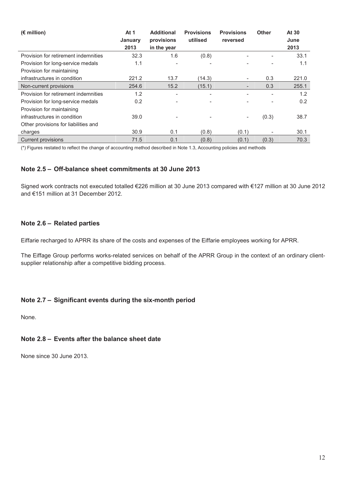| $(E \text{ million})$                | At 1<br>January<br>2013 | <b>Additional</b><br>provisions<br>in the year | <b>Provisions</b><br>utilised | <b>Provisions</b><br>reversed | <b>Other</b> | At 30<br>June<br>2013 |
|--------------------------------------|-------------------------|------------------------------------------------|-------------------------------|-------------------------------|--------------|-----------------------|
| Provision for retirement indemnities | 32.3                    | 1.6                                            | (0.8)                         |                               |              | 33.1                  |
| Provision for long-service medals    | 1.1                     | $\overline{\phantom{0}}$                       |                               |                               |              | 1.1                   |
| Provision for maintaining            |                         |                                                |                               |                               |              |                       |
| infrastructures in condition         | 221.2                   | 13.7                                           | (14.3)                        | -                             | 0.3          | 221.0                 |
| Non-current provisions               | 254.6                   | 15.2                                           | (15.1)                        |                               | 0.3          | 255.1                 |
| Provision for retirement indemnities | 1.2                     |                                                | $\overline{\phantom{0}}$      |                               |              | 1.2                   |
| Provision for long-service medals    | 0.2                     |                                                |                               |                               |              | 0.2                   |
| Provision for maintaining            |                         |                                                |                               |                               |              |                       |
| infrastructures in condition         | 39.0                    |                                                |                               |                               | (0.3)        | 38.7                  |
| Other provisions for liabilities and |                         |                                                |                               |                               |              |                       |
| charges                              | 30.9                    | 0.1                                            | (0.8)                         | (0.1)                         |              | 30.1                  |
| <b>Current provisions</b>            | 71.5                    | 0.1                                            | (0.8)                         | (0.1)                         | (0.3)        | 70.3                  |

(\*) Figures restated to reflect the change of accounting method described in Note 1.3, Accounting policies and methods

### **Note 2.5 – Off-balance sheet commitments at 30 June 2013**

Signed work contracts not executed totalled €226 million at 30 June 2013 compared with €127 million at 30 June 2012 and €151 million at 31 December 2012.

### **Note 2.6 – Related parties**

Eiffarie recharged to APRR its share of the costs and expenses of the Eiffarie employees working for APRR.

The Eiffage Group performs works-related services on behalf of the APRR Group in the context of an ordinary clientsupplier relationship after a competitive bidding process.

### **Note 2.7 – Significant events during the six-month period**

None.

### **Note 2.8 – Events after the balance sheet date**

None since 30 June 2013.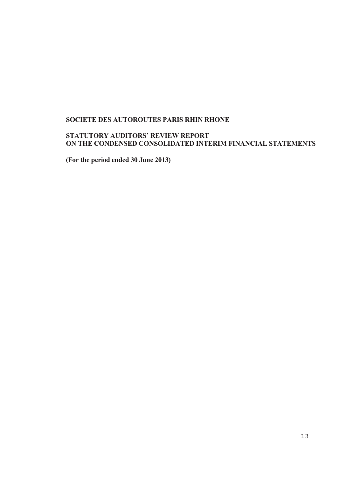### **SOCIETE DES AUTOROUTES PARIS RHIN RHONE**

### **STATUTORY AUDITORS' REVIEW REPORT ON THE CONDENSED CONSOLIDATED INTERIM FINANCIAL STATEMENTS**

**(For the period ended 30 June 2013)**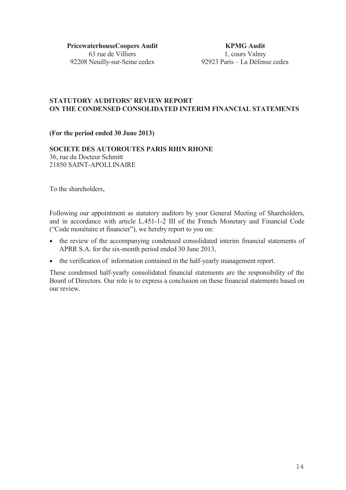**PricewaterhouseCoopers Audit**  63 rue de Villiers 92208 Neuilly-sur-Seine cedex

**KPMG Audit**  1, cours Valmy 92923 Paris – La Défense cedex

### **STATUTORY AUDITORS' REVIEW REPORT ON THE CONDENSED CONSOLIDATED INTERIM FINANCIAL STATEMENTS**

**(For the period ended 30 June 2013)**

### **SOCIETE DES AUTOROUTES PARIS RHIN RHONE**  36, rue du Docteur Schmitt 21850 SAINT-APOLLINAIRE

To the shareholders,

Following our appointment as statutory auditors by your General Meeting of Shareholders, and in accordance with article L.451-1-2 III of the French Monetary and Financial Code ("Code monétaire et financier"), we hereby report to you on:

- the review of the accompanying condensed consolidated interim financial statements of APRR S.A. for the six-month period ended 30 June 2013,
- the verification of information contained in the half-yearly management report.

These condensed half-yearly consolidated financial statements are the responsibility of the Board of Directors. Our role is to express a conclusion on these financial statements based on our review.